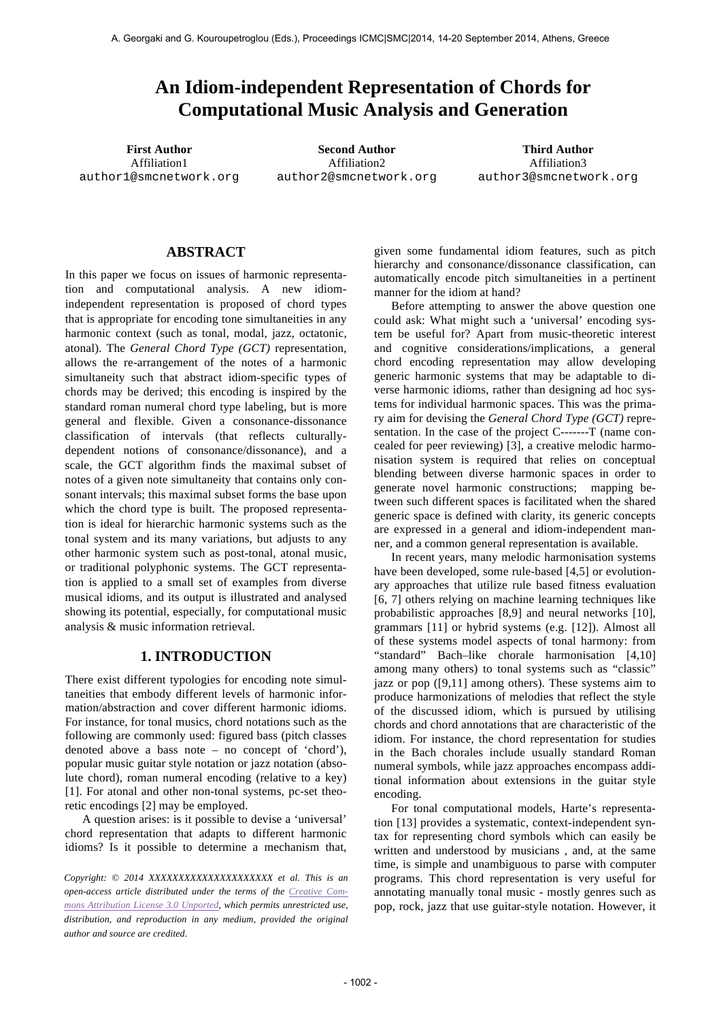# **An Idiom-independent Representation of Chords for Computational Music Analysis and Generation**

Affiliation1 author1@smcnetwork.org

**First Author Second Author Third Author** Affiliation2 author2@smcnetwork.org

Affiliation3 author3@smcnetwork.org

# **ABSTRACT**

In this paper we focus on issues of harmonic representation and computational analysis. A new idiomindependent representation is proposed of chord types that is appropriate for encoding tone simultaneities in any harmonic context (such as tonal, modal, jazz, octatonic, atonal). The *General Chord Type (GCT)* representation, allows the re-arrangement of the notes of a harmonic simultaneity such that abstract idiom-specific types of chords may be derived; this encoding is inspired by the standard roman numeral chord type labeling, but is more general and flexible. Given a consonance-dissonance classification of intervals (that reflects culturallydependent notions of consonance/dissonance), and a scale, the GCT algorithm finds the maximal subset of notes of a given note simultaneity that contains only consonant intervals; this maximal subset forms the base upon which the chord type is built. The proposed representation is ideal for hierarchic harmonic systems such as the tonal system and its many variations, but adjusts to any other harmonic system such as post-tonal, atonal music, or traditional polyphonic systems. The GCT representation is applied to a small set of examples from diverse musical idioms, and its output is illustrated and analysed showing its potential, especially, for computational music analysis & music information retrieval.

# **1. INTRODUCTION**

There exist different typologies for encoding note simultaneities that embody different levels of harmonic information/abstraction and cover different harmonic idioms. For instance, for tonal musics, chord notations such as the following are commonly used: figured bass (pitch classes denoted above a bass note – no concept of 'chord'), popular music guitar style notation or jazz notation (absolute chord), roman numeral encoding (relative to a key) [1]. For atonal and other non-tonal systems, pc-set theoretic encodings [2] may be employed.

A question arises: is it possible to devise a 'universal' chord representation that adapts to different harmonic idioms? Is it possible to determine a mechanism that,

*Copyright: © 2014 XXXXXXXXXXXXXXXXXXXXX et al. This is an open-access article distributed under the terms of the Creative Commons Attribution License 3.0 Unported, which permits unrestricted use, distribution, and reproduction in any medium, provided the original author and source are credited.*

given some fundamental idiom features, such as pitch hierarchy and consonance/dissonance classification, can automatically encode pitch simultaneities in a pertinent manner for the idiom at hand?

Before attempting to answer the above question one could ask: What might such a 'universal' encoding system be useful for? Apart from music-theoretic interest and cognitive considerations/implications, a general chord encoding representation may allow developing generic harmonic systems that may be adaptable to diverse harmonic idioms, rather than designing ad hoc systems for individual harmonic spaces. This was the primary aim for devising the *General Chord Type (GCT)* representation. In the case of the project C-------T (name concealed for peer reviewing) [3], a creative melodic harmonisation system is required that relies on conceptual blending between diverse harmonic spaces in order to generate novel harmonic constructions; mapping between such different spaces is facilitated when the shared generic space is defined with clarity, its generic concepts are expressed in a general and idiom-independent manner, and a common general representation is available.

In recent years, many melodic harmonisation systems have been developed, some rule-based [4,5] or evolutionary approaches that utilize rule based fitness evaluation [6, 7] others relying on machine learning techniques like probabilistic approaches [8,9] and neural networks [10], grammars [11] or hybrid systems (e.g. [12]). Almost all of these systems model aspects of tonal harmony: from "standard" Bach–like chorale harmonisation [4,10] among many others) to tonal systems such as "classic" jazz or pop ([9,11] among others). These systems aim to produce harmonizations of melodies that reflect the style of the discussed idiom, which is pursued by utilising chords and chord annotations that are characteristic of the idiom. For instance, the chord representation for studies in the Bach chorales include usually standard Roman numeral symbols, while jazz approaches encompass additional information about extensions in the guitar style encoding.

For tonal computational models, Harte's representation [13] provides a systematic, context-independent syntax for representing chord symbols which can easily be written and understood by musicians , and, at the same time, is simple and unambiguous to parse with computer programs. This chord representation is very useful for annotating manually tonal music - mostly genres such as pop, rock, jazz that use guitar-style notation. However, it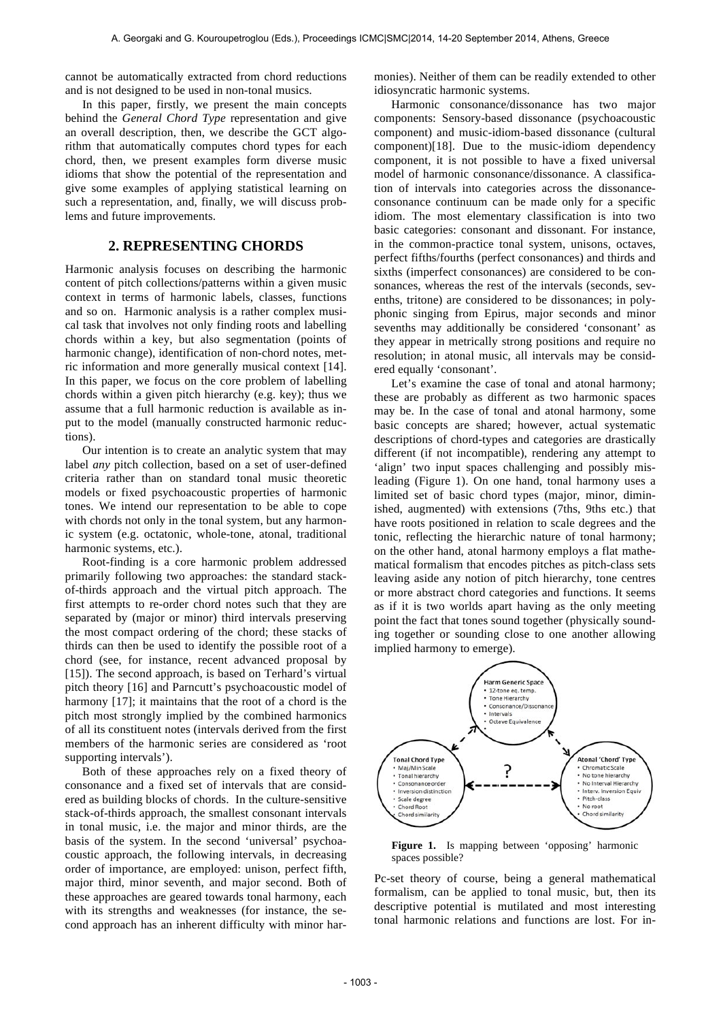cannot be automatically extracted from chord reductions and is not designed to be used in non-tonal musics.

In this paper, firstly, we present the main concepts behind the *General Chord Type* representation and give an overall description, then, we describe the GCT algorithm that automatically computes chord types for each chord, then, we present examples form diverse music idioms that show the potential of the representation and give some examples of applying statistical learning on such a representation, and, finally, we will discuss problems and future improvements.

# **2. REPRESENTING CHORDS**

Harmonic analysis focuses on describing the harmonic content of pitch collections/patterns within a given music context in terms of harmonic labels, classes, functions and so on. Harmonic analysis is a rather complex musical task that involves not only finding roots and labelling chords within a key, but also segmentation (points of harmonic change), identification of non-chord notes, metric information and more generally musical context [14]. In this paper, we focus on the core problem of labelling chords within a given pitch hierarchy (e.g. key); thus we assume that a full harmonic reduction is available as input to the model (manually constructed harmonic reductions).

Our intention is to create an analytic system that may label *any* pitch collection, based on a set of user-defined criteria rather than on standard tonal music theoretic models or fixed psychoacoustic properties of harmonic tones. We intend our representation to be able to cope with chords not only in the tonal system, but any harmonic system (e.g. octatonic, whole-tone, atonal, traditional harmonic systems, etc.).

Root-finding is a core harmonic problem addressed primarily following two approaches: the standard stackof-thirds approach and the virtual pitch approach. The first attempts to re-order chord notes such that they are separated by (major or minor) third intervals preserving the most compact ordering of the chord; these stacks of thirds can then be used to identify the possible root of a chord (see, for instance, recent advanced proposal by [15]). The second approach, is based on Terhard's virtual pitch theory [16] and Parncutt's psychoacoustic model of harmony [17]; it maintains that the root of a chord is the pitch most strongly implied by the combined harmonics of all its constituent notes (intervals derived from the first members of the harmonic series are considered as 'root supporting intervals').

Both of these approaches rely on a fixed theory of consonance and a fixed set of intervals that are considered as building blocks of chords. In the culture-sensitive stack-of-thirds approach, the smallest consonant intervals in tonal music, i.e. the major and minor thirds, are the basis of the system. In the second 'universal' psychoacoustic approach, the following intervals, in decreasing order of importance, are employed: unison, perfect fifth, major third, minor seventh, and major second. Both of these approaches are geared towards tonal harmony, each with its strengths and weaknesses (for instance, the second approach has an inherent difficulty with minor harmonies). Neither of them can be readily extended to other idiosyncratic harmonic systems.

Harmonic consonance/dissonance has two major components: Sensory-based dissonance (psychoacoustic component) and music-idiom-based dissonance (cultural component)[18]. Due to the music-idiom dependency component, it is not possible to have a fixed universal model of harmonic consonance/dissonance. A classification of intervals into categories across the dissonanceconsonance continuum can be made only for a specific idiom. The most elementary classification is into two basic categories: consonant and dissonant. For instance, in the common-practice tonal system, unisons, octaves, perfect fifths/fourths (perfect consonances) and thirds and sixths (imperfect consonances) are considered to be consonances, whereas the rest of the intervals (seconds, sevenths, tritone) are considered to be dissonances; in polyphonic singing from Epirus, major seconds and minor sevenths may additionally be considered 'consonant' as they appear in metrically strong positions and require no resolution; in atonal music, all intervals may be considered equally 'consonant'.

Let's examine the case of tonal and atonal harmony; these are probably as different as two harmonic spaces may be. In the case of tonal and atonal harmony, some basic concepts are shared; however, actual systematic descriptions of chord-types and categories are drastically different (if not incompatible), rendering any attempt to 'align' two input spaces challenging and possibly misleading (Figure 1). On one hand, tonal harmony uses a limited set of basic chord types (major, minor, diminished, augmented) with extensions (7ths, 9ths etc.) that have roots positioned in relation to scale degrees and the tonic, reflecting the hierarchic nature of tonal harmony; on the other hand, atonal harmony employs a flat mathematical formalism that encodes pitches as pitch-class sets leaving aside any notion of pitch hierarchy, tone centres or more abstract chord categories and functions. It seems as if it is two worlds apart having as the only meeting point the fact that tones sound together (physically sounding together or sounding close to one another allowing implied harmony to emerge).



**Figure 1.** Is mapping between 'opposing' harmonic spaces possible?

Pc-set theory of course, being a general mathematical formalism, can be applied to tonal music, but, then its descriptive potential is mutilated and most interesting tonal harmonic relations and functions are lost. For in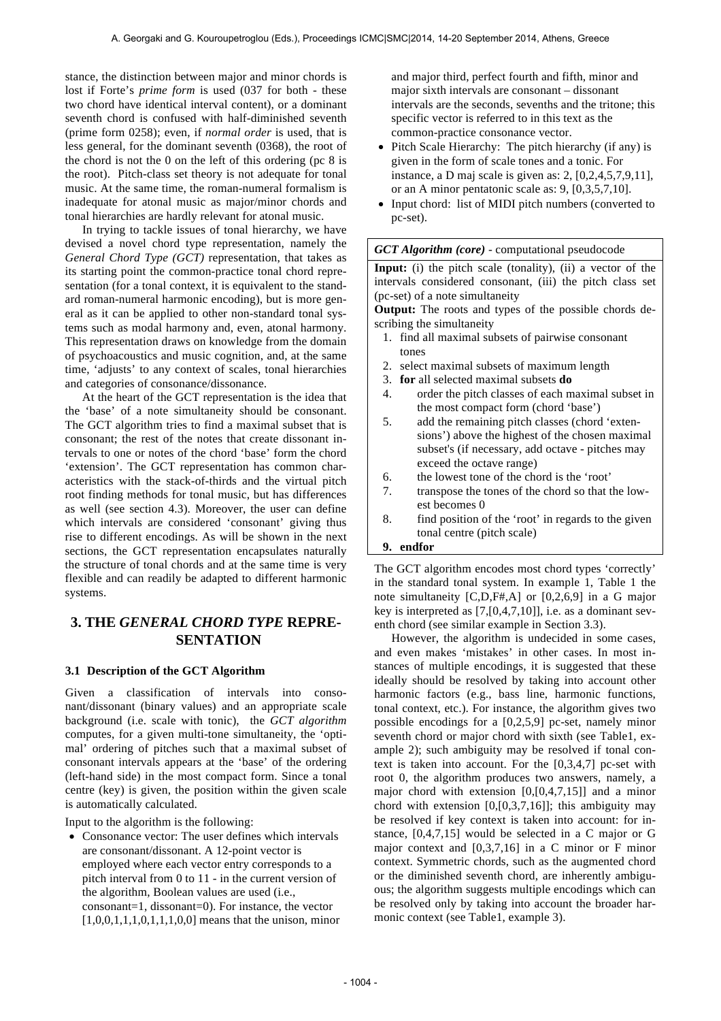stance, the distinction between major and minor chords is lost if Forte's *prime form* is used (037 for both - these two chord have identical interval content), or a dominant seventh chord is confused with half-diminished seventh (prime form 0258); even, if *normal order* is used, that is less general, for the dominant seventh (0368), the root of the chord is not the 0 on the left of this ordering (pc 8 is the root). Pitch-class set theory is not adequate for tonal music. At the same time, the roman-numeral formalism is inadequate for atonal music as major/minor chords and tonal hierarchies are hardly relevant for atonal music.

In trying to tackle issues of tonal hierarchy, we have devised a novel chord type representation, namely the *General Chord Type (GCT)* representation, that takes as its starting point the common-practice tonal chord representation (for a tonal context, it is equivalent to the standard roman-numeral harmonic encoding), but is more general as it can be applied to other non-standard tonal systems such as modal harmony and, even, atonal harmony. This representation draws on knowledge from the domain of psychoacoustics and music cognition, and, at the same time, 'adjusts' to any context of scales, tonal hierarchies and categories of consonance/dissonance.

At the heart of the GCT representation is the idea that the 'base' of a note simultaneity should be consonant. The GCT algorithm tries to find a maximal subset that is consonant; the rest of the notes that create dissonant intervals to one or notes of the chord 'base' form the chord 'extension'. The GCT representation has common characteristics with the stack-of-thirds and the virtual pitch root finding methods for tonal music, but has differences as well (see section 4.3). Moreover, the user can define which intervals are considered 'consonant' giving thus rise to different encodings. As will be shown in the next sections, the GCT representation encapsulates naturally the structure of tonal chords and at the same time is very flexible and can readily be adapted to different harmonic systems.

# **3. THE** *GENERAL CHORD TYPE* **REPRE-SENTATION**

### **3.1 Description of the GCT Algorithm**

Given a classification of intervals into consonant/dissonant (binary values) and an appropriate scale background (i.e. scale with tonic), the *GCT algorithm* computes, for a given multi-tone simultaneity, the 'optimal' ordering of pitches such that a maximal subset of consonant intervals appears at the 'base' of the ordering (left-hand side) in the most compact form. Since a tonal centre (key) is given, the position within the given scale is automatically calculated.

Input to the algorithm is the following:

• Consonance vector: The user defines which intervals are consonant/dissonant. A 12-point vector is employed where each vector entry corresponds to a pitch interval from 0 to 11 - in the current version of the algorithm, Boolean values are used (i.e., consonant=1, dissonant=0). For instance, the vector  $[1,0,0,1,1,1,0,1,1,1,0,0]$  means that the unison, minor and major third, perfect fourth and fifth, minor and major sixth intervals are consonant – dissonant intervals are the seconds, sevenths and the tritone; this specific vector is referred to in this text as the common-practice consonance vector.

- Pitch Scale Hierarchy: The pitch hierarchy (if any) is given in the form of scale tones and a tonic. For instance, a D maj scale is given as: 2, [0,2,4,5,7,9,11], or an A minor pentatonic scale as: 9, [0,3,5,7,10].
- Input chord: list of MIDI pitch numbers (converted to pc-set).

#### *GCT Algorithm (core)* - computational pseudocode

**Input:** (i) the pitch scale (tonality), (ii) a vector of the intervals considered consonant, (iii) the pitch class set (pc-set) of a note simultaneity

**Output:** The roots and types of the possible chords describing the simultaneity

- 1. find all maximal subsets of pairwise consonant tones
- 2. select maximal subsets of maximum length
- 3. **for** all selected maximal subsets **do**
- 4. order the pitch classes of each maximal subset in the most compact form (chord 'base')
- 5. add the remaining pitch classes (chord 'extensions') above the highest of the chosen maximal subset's (if necessary, add octave - pitches may exceed the octave range)
- 6. the lowest tone of the chord is the 'root'
- 7. transpose the tones of the chord so that the lowest becomes 0
- 8. find position of the 'root' in regards to the given tonal centre (pitch scale)

#### **9. endfor**

The GCT algorithm encodes most chord types 'correctly' in the standard tonal system. In example 1, Table 1 the note simultaneity [C,D,F#,A] or [0,2,6,9] in a G major key is interpreted as [7,[0,4,7,10]], i.e. as a dominant seventh chord (see similar example in Section 3.3).

However, the algorithm is undecided in some cases, and even makes 'mistakes' in other cases. In most instances of multiple encodings, it is suggested that these ideally should be resolved by taking into account other harmonic factors (e.g., bass line, harmonic functions, tonal context, etc.). For instance, the algorithm gives two possible encodings for a [0,2,5,9] pc-set, namely minor seventh chord or major chord with sixth (see Table1, example 2); such ambiguity may be resolved if tonal context is taken into account. For the [0,3,4,7] pc-set with root 0, the algorithm produces two answers, namely, a major chord with extension [0,[0,4,7,15]] and a minor chord with extension  $[0, [0, 3, 7, 16]]$ ; this ambiguity may be resolved if key context is taken into account: for instance, [0,4,7,15] would be selected in a C major or G major context and  $[0,3,7,16]$  in a C minor or F minor context. Symmetric chords, such as the augmented chord or the diminished seventh chord, are inherently ambiguous; the algorithm suggests multiple encodings which can be resolved only by taking into account the broader harmonic context (see Table1, example 3).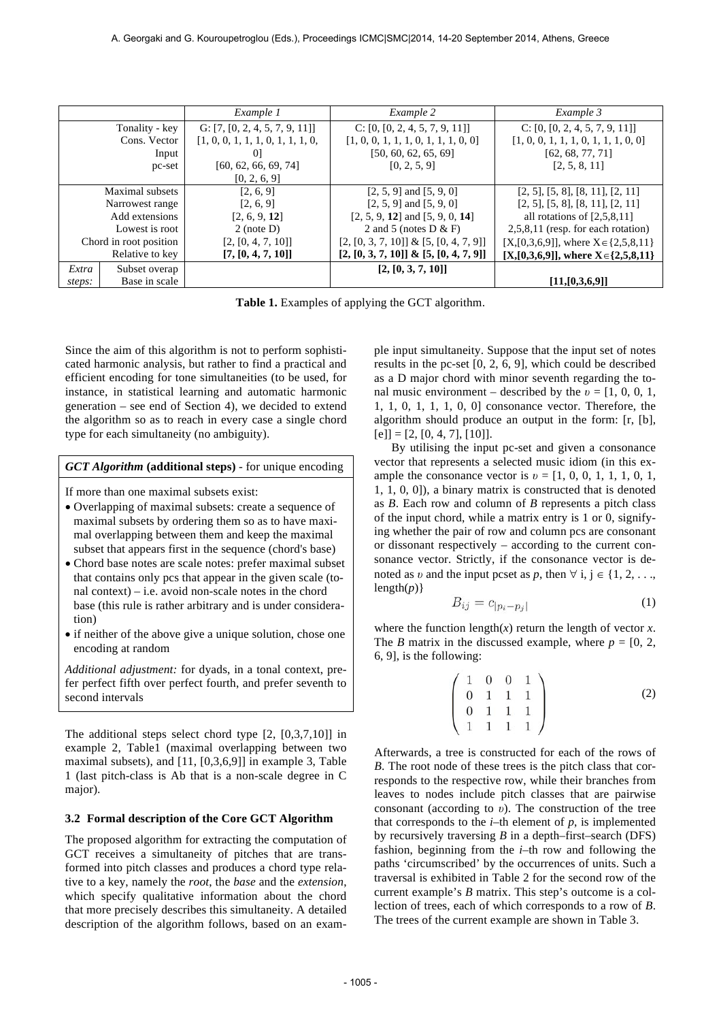|                        |               | Example 1                         | Example 2                                 | Example 3                                    |  |
|------------------------|---------------|-----------------------------------|-------------------------------------------|----------------------------------------------|--|
| Tonality - key         |               | G: $[7, [0, 2, 4, 5, 7, 9, 11]]$  | C: [0, [0, 2, 4, 5, 7, 9, 11]]            | C: [0, [0, 2, 4, 5, 7, 9, 11]]               |  |
| Cons. Vector           |               | [1, 0, 0, 1, 1, 1, 0, 1, 1, 1, 0, | [1, 0, 0, 1, 1, 1, 0, 1, 1, 1, 0, 0]      | [1, 0, 0, 1, 1, 1, 0, 1, 1, 1, 0, 0]         |  |
|                        | Input         | $\overline{0}$                    | [50, 60, 62, 65, 69]                      | [62, 68, 77, 71]                             |  |
|                        | pc-set        | [60, 62, 66, 69, 74]              | [0, 2, 5, 9]                              | [2, 5, 8, 11]                                |  |
|                        |               | [0, 2, 6, 9]                      |                                           |                                              |  |
| Maximal subsets        |               | [2, 6, 9]                         | $[2, 5, 9]$ and $[5, 9, 0]$               | $[2, 5]$ , $[5, 8]$ , $[8, 11]$ , $[2, 11]$  |  |
| Narrowest range        |               | [2, 6, 9]                         | $[2, 5, 9]$ and $[5, 9, 0]$               | $[2, 5]$ , $[5, 8]$ , $[8, 11]$ , $[2, 11]$  |  |
| Add extensions         |               | [2, 6, 9, 12]                     | $[2, 5, 9, 12]$ and $[5, 9, 0, 14]$       | all rotations of $[2,5,8,11]$                |  |
| Lowest is root         |               | $2$ (note D)                      | 2 and 5 (notes $D & F$ )                  | $2,5,8,11$ (resp. for each rotation)         |  |
| Chord in root position |               | [2, [0, 4, 7, 10]]                | $[2, [0, 3, 7, 10]] \& [5, [0, 4, 7, 9]]$ | $[X,[0,3,6,9]]$ , where $X \in \{2,5,8,11\}$ |  |
| Relative to key        |               | [7, [0, 4, 7, 10]]                | $[2, [0, 3, 7, 10]] \& [5, [0, 4, 7, 9]]$ | $[X,[0,3,6,9]]$ , where $X \in \{2,5,8,11\}$ |  |
| Extra                  | Subset overap |                                   | [2, [0, 3, 7, 10]]                        |                                              |  |
| steps:                 | Base in scale |                                   |                                           | [11, [0, 3, 6, 9]]                           |  |

Table 1. Examples of applying the GCT algorithm.

Since the aim of this algorithm is not to perform sophisticated harmonic analysis, but rather to find a practical and efficient encoding for tone simultaneities (to be used, for instance, in statistical learning and automatic harmonic generation – see end of Section 4), we decided to extend the algorithm so as to reach in every case a single chord type for each simultaneity (no ambiguity).

### *GCT Algorithm* **(additional steps)** - for unique encoding

If more than one maximal subsets exist:

- Overlapping of maximal subsets: create a sequence of maximal subsets by ordering them so as to have maximal overlapping between them and keep the maximal subset that appears first in the sequence (chord's base)
- Chord base notes are scale notes: prefer maximal subset that contains only pcs that appear in the given scale (tonal context) – i.e. avoid non-scale notes in the chord base (this rule is rather arbitrary and is under consideration)
- if neither of the above give a unique solution, chose one encoding at random

*Additional adjustment:* for dyads, in a tonal context, prefer perfect fifth over perfect fourth, and prefer seventh to second intervals

The additional steps select chord type [2, [0,3,7,10]] in example 2, Table1 (maximal overlapping between two maximal subsets), and [11, [0,3,6,9]] in example 3, Table 1 (last pitch-class is Ab that is a non-scale degree in C major).

#### **3.2 Formal description of the Core GCT Algorithm**

The proposed algorithm for extracting the computation of GCT receives a simultaneity of pitches that are transformed into pitch classes and produces a chord type relative to a key, namely the *root*, the *base* and the *extension*, which specify qualitative information about the chord that more precisely describes this simultaneity. A detailed description of the algorithm follows, based on an example input simultaneity. Suppose that the input set of notes results in the pc-set [0, 2, 6, 9], which could be described as a D major chord with minor seventh regarding the tonal music environment – described by the  $v = [1, 0, 0, 1]$ , 1, 1, 0, 1, 1, 1, 0, 0] consonance vector. Therefore, the algorithm should produce an output in the form: [r, [b],  $[e] = [2, [0, 4, 7], [10]].$ 

By utilising the input pc-set and given a consonance vector that represents a selected music idiom (in this example the consonance vector is  $v = [1, 0, 0, 1, 1, 1, 0, 1, 1]$ 1, 1, 0, 0]), a binary matrix is constructed that is denoted as *B*. Each row and column of *B* represents a pitch class of the input chord, while a matrix entry is 1 or 0, signifying whether the pair of row and column pcs are consonant or dissonant respectively – according to the current consonance vector. Strictly, if the consonance vector is denoted as *v* and the input pcset as *p*, then  $\forall$  i,  $j \in \{1, 2, \ldots,$  $length(p)$ }

$$
B_{ij} = c_{|p_i - p_j|} \tag{1}
$$

where the function length $(x)$  return the length of vector  $x$ . The *B* matrix in the discussed example, where  $p = [0, 2, 1]$ 6, 9], is the following:

$$
\begin{pmatrix}\n1 & 0 & 0 & 1 \\
0 & 1 & 1 & 1 \\
0 & 1 & 1 & 1 \\
1 & 1 & 1 & 1\n\end{pmatrix}
$$
\n(2)

Afterwards, a tree is constructed for each of the rows of *B*. The root node of these trees is the pitch class that corresponds to the respective row, while their branches from leaves to nodes include pitch classes that are pairwise consonant (according to *υ*). The construction of the tree that corresponds to the  $i$ –th element of  $p$ , is implemented by recursively traversing *B* in a depth–first–search (DFS) fashion, beginning from the *i*–th row and following the paths 'circumscribed' by the occurrences of units. Such a traversal is exhibited in Table 2 for the second row of the current example's *B* matrix. This step's outcome is a collection of trees, each of which corresponds to a row of *B*. The trees of the current example are shown in Table 3.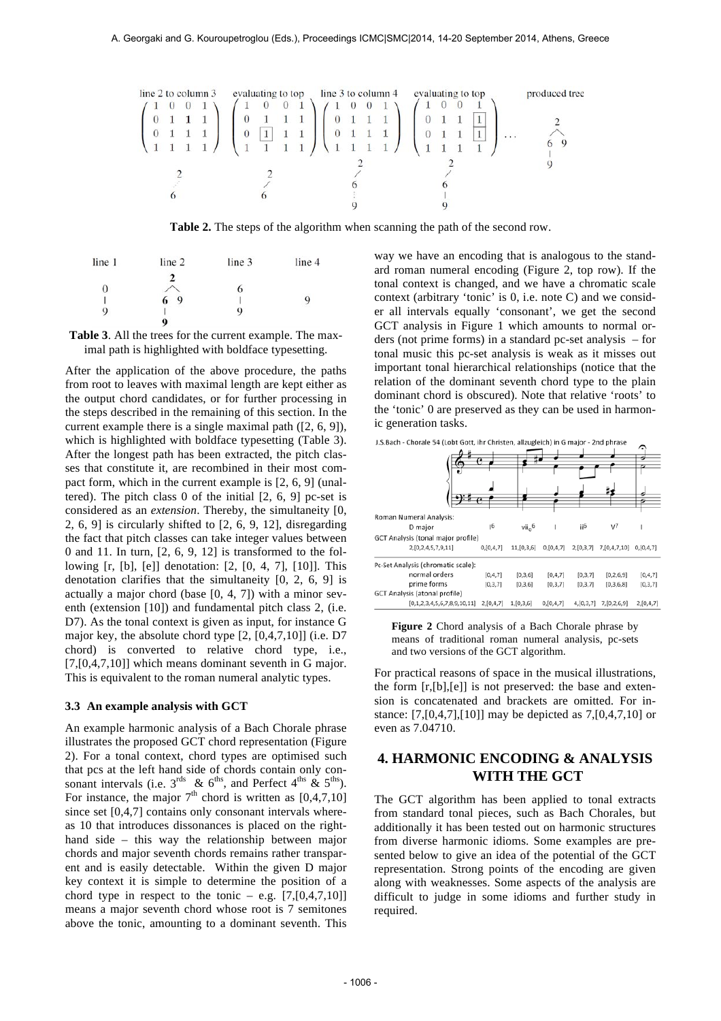

**Τable 2.** The steps of the algorithm when scanning the path of the second row.

| line 1 | line 2      | line 3 | line 4 |  |  |
|--------|-------------|--------|--------|--|--|
|        |             |        |        |  |  |
| 0      |             | 6      |        |  |  |
|        | 9           |        | 9      |  |  |
| 9      | 10000       | 9      |        |  |  |
|        | $\mathbf o$ |        |        |  |  |

**Table 3**. All the trees for the current example. The maximal path is highlighted with boldface typesetting.

After the application of the above procedure, the paths from root to leaves with maximal length are kept either as the output chord candidates, or for further processing in the steps described in the remaining of this section. In the current example there is a single maximal path ([2, 6, 9]), which is highlighted with boldface typesetting (Table 3). After the longest path has been extracted, the pitch classes that constitute it, are recombined in their most compact form, which in the current example is [2, 6, 9] (unaltered). The pitch class 0 of the initial [2, 6, 9] pc-set is considered as an *extension*. Thereby, the simultaneity [0, 2, 6, 9] is circularly shifted to [2, 6, 9, 12], disregarding the fact that pitch classes can take integer values between 0 and 11. In turn,  $[2, 6, 9, 12]$  is transformed to the following [r, [b], [e]] denotation: [2, [0, 4, 7], [10]]. This denotation clarifies that the simultaneity [0, 2, 6, 9] is actually a major chord (base [0, 4, 7]) with a minor seventh (extension [10]) and fundamental pitch class 2, (i.e. D7). As the tonal context is given as input, for instance G major key, the absolute chord type [2, [0,4,7,10]] (i.e. D7 chord) is converted to relative chord type, i.e., [7,[0,4,7,10]] which means dominant seventh in G major. This is equivalent to the roman numeral analytic types.

#### **3.3 An example analysis with GCT**

An example harmonic analysis of a Bach Chorale phrase illustrates the proposed GCT chord representation (Figure 2). For a tonal context, chord types are optimised such that pcs at the left hand side of chords contain only consonant intervals (i.e.  $3^{\text{rds}}$  &  $6^{\text{ths}}$ , and Perfect  $4^{\text{ths}}$  &  $5^{\text{ths}}$ ). For instance, the major  $7<sup>th</sup>$  chord is written as [0,4,7,10] since set [0,4,7] contains only consonant intervals whereas 10 that introduces dissonances is placed on the righthand side – this way the relationship between major chords and major seventh chords remains rather transparent and is easily detectable. Within the given D major key context it is simple to determine the position of a chord type in respect to the tonic – e.g.  $[7, [0,4,7,10]]$ means a major seventh chord whose root is 7 semitones above the tonic, amounting to a dominant seventh. This

way we have an encoding that is analogous to the standard roman numeral encoding (Figure 2, top row). If the tonal context is changed, and we have a chromatic scale context (arbitrary 'tonic' is 0, i.e. note C) and we consider all intervals equally 'consonant', we get the second GCT analysis in Figure 1 which amounts to normal orders (not prime forms) in a standard pc-set analysis – for tonal music this pc-set analysis is weak as it misses out important tonal hierarchical relationships (notice that the relation of the dominant seventh chord type to the plain dominant chord is obscured). Note that relative 'roots' to the 'tonic' 0 are preserved as they can be used in harmonic generation tasks.

|                                    |               |                    | t.           |                 |                  |           |  |
|------------------------------------|---------------|--------------------|--------------|-----------------|------------------|-----------|--|
|                                    |               |                    |              |                 |                  |           |  |
| Roman Numeral Analysis:            |               |                    |              |                 |                  |           |  |
| D major                            | <sub>16</sub> | vii <sub>0</sub> 6 |              | ii <sup>6</sup> | V <sup>7</sup>   |           |  |
| GCT Analysis (tonal major profile) |               |                    |              |                 |                  |           |  |
| 2, [0, 2, 4, 5, 7, 9, 11]          | 0,[0,4,7]     | 11, [0,3,6]        | 0, [0, 4, 7] | 2,[0,3,7]       | 7, [0, 4, 7, 10] | 0,[0,4,7] |  |
| Pc-Set Analysis (chromatic scale): |               |                    |              |                 |                  |           |  |
| normal orders                      | [0, 4, 7]     | [0,3,6]            | [0, 4, 7]    | [0, 3, 7]       | [0, 2, 6, 9]     | [0, 4, 7] |  |
| prime forms                        | [0, 3, 7]     | [0,3,6]            | [0,3,7]      | [0, 3, 7]       | [0, 3, 6, 8]     | [0, 3, 7] |  |
| GCT Analysis (atonal profile)      |               |                    |              |                 |                  |           |  |
| [0,1,2,3,4,5,6,7,8,9,10,11]        | 2,[0,4,7]     | 1,[0,3,6]          | 0,[0,4,7]    | 4,[0,3,7]       | 7,[0,2,6,9]      | 2,[0,4,7] |  |

J.S.Bach - Chorale 54 (Lobt Gott, ihr Christen, allzugleich) in G major - 2nd phrase

**Figure 2** Chord analysis of a Bach Chorale phrase by means of traditional roman numeral analysis, pc-sets and two versions of the GCT algorithm. 

For practical reasons of space in the musical illustrations, the form [r,[b],[e]] is not preserved: the base and extension is concatenated and brackets are omitted. For instance: [7,[0,4,7],[10]] may be depicted as 7,[0,4,7,10] or even as 7.04710.

# **4. HARMONIC ENCODING & ANALYSIS WITH THE GCT**

The GCT algorithm has been applied to tonal extracts from standard tonal pieces, such as Bach Chorales, but additionally it has been tested out on harmonic structures from diverse harmonic idioms. Some examples are presented below to give an idea of the potential of the GCT representation. Strong points of the encoding are given along with weaknesses. Some aspects of the analysis are difficult to judge in some idioms and further study in required.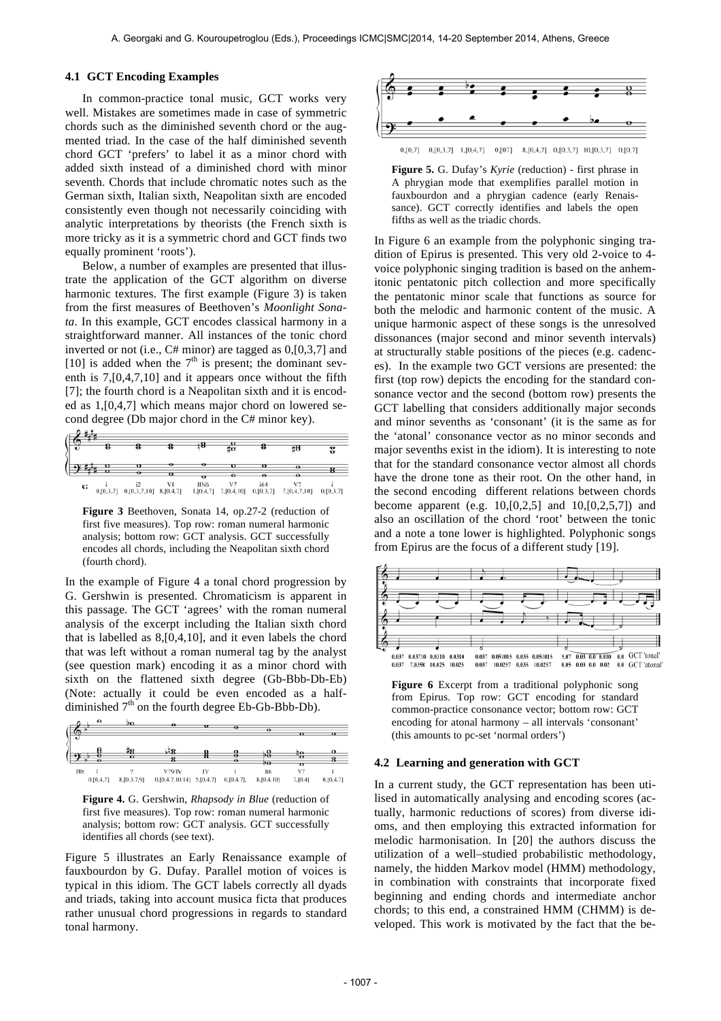#### **4.1 GCT Encoding Examples**

In common-practice tonal music, GCT works very well. Mistakes are sometimes made in case of symmetric chords such as the diminished seventh chord or the augmented triad. In the case of the half diminished seventh chord GCT 'prefers' to label it as a minor chord with added sixth instead of a diminished chord with minor seventh. Chords that include chromatic notes such as the German sixth, Italian sixth, Neapolitan sixth are encoded consistently even though not necessarily coinciding with analytic interpretations by theorists (the French sixth is more tricky as it is a symmetric chord and GCT finds two equally prominent 'roots').

Below, a number of examples are presented that illustrate the application of the GCT algorithm on diverse harmonic textures. The first example (Figure 3) is taken from the first measures of Beethoven's *Moonlight Sonata*. In this example, GCT encodes classical harmony in a straightforward manner. All instances of the tonic chord inverted or not (i.e., C# minor) are tagged as 0,[0,3,7] and [10] is added when the  $7<sup>th</sup>$  is present; the dominant seventh is 7,[0,4,7,10] and it appears once without the fifth [7]; the fourth chord is a Neapolitan sixth and it is encoded as 1,[0,4,7] which means major chord on lowered second degree (Db major chord in the C# minor key).

| ٠  |           |   |          | -8   | ğσ |     | ΞB                                                                                                | 윿         |
|----|-----------|---|----------|------|----|-----|---------------------------------------------------------------------------------------------------|-----------|
|    | o         | o |          |      | o  | o   | o                                                                                                 |           |
|    | $\bullet$ | Ð | $\sigma$ | π    |    | ۰   | ۰o                                                                                                |           |
| c: |           |   |          | IIN6 |    | i64 | $0, [0,3,7]$ $0, [0,3,7,10]$ $8, [0,4,7]$ $1, [0,4,7]$ $7, [0,4,10]$ $0, [0,3,7]$ $7, [0,4,7,10]$ | 0,[0,3,7] |

**Figure 3** Beethoven, Sonata 14, op.27-2 (reduction of first five measures). Top row: roman numeral harmonic analysis; bottom row: GCT analysis. GCT successfully encodes all chords, including the Neapolitan sixth chord (fourth chord).

In the example of Figure 4 a tonal chord progression by G. Gershwin is presented. Chromaticism is apparent in this passage. The GCT 'agrees' with the roman numeral analysis of the excerpt including the Italian sixth chord that is labelled as 8,[0,4,10], and it even labels the chord that was left without a roman numeral tag by the analyst (see question mark) encoding it as a minor chord with sixth on the flattened sixth degree (Gb-Bbb-Db-Eb) (Note: actually it could be even encoded as a halfdiminished  $7<sup>th</sup>$  on the fourth degree Eb-Gb-Bbb-Db).





Figure 5 illustrates an Early Renaissance example of fauxbourdon by G. Dufay. Parallel motion of voices is typical in this idiom. The GCT labels correctly all dyads and triads, taking into account musica ficta that produces rather unusual chord progressions in regards to standard tonal harmony.



**Figure 5.** G. Dufay's *Kyrie* (reduction) - first phrase in A phrygian mode that exemplifies parallel motion in fauxbourdon and a phrygian cadence (early Renaissance). GCT correctly identifies and labels the open fifths as well as the triadic chords.

In Figure 6 an example from the polyphonic singing tradition of Epirus is presented. This very old 2-voice to 4 voice polyphonic singing tradition is based on the anhemitonic pentatonic pitch collection and more specifically the pentatonic minor scale that functions as source for both the melodic and harmonic content of the music. A unique harmonic aspect of these songs is the unresolved dissonances (major second and minor seventh intervals) at structurally stable positions of the pieces (e.g. cadences). In the example two GCT versions are presented: the first (top row) depicts the encoding for the standard consonance vector and the second (bottom row) presents the GCT labelling that considers additionally major seconds and minor sevenths as 'consonant' (it is the same as for the 'atonal' consonance vector as no minor seconds and major sevenths exist in the idiom). It is interesting to note that for the standard consonance vector almost all chords have the drone tone as their root. On the other hand, in the second encoding different relations between chords become apparent (e.g.  $10,[0,2,5]$  and  $10,[0,2,5,7]$ ) and also an oscillation of the chord 'root' between the tonic and a note a tone lower is highlighted. Polyphonic songs from Epirus are the focus of a different study [19].



**Figure 6** Excerpt from a traditional polyphonic song from Epirus. Top row: GCT encoding for standard common-practice consonance vector; bottom row: GCT encoding for atonal harmony – all intervals 'consonant' (this amounts to pc-set 'normal orders')

#### **4.2 Learning and generation with GCT**

In a current study, the GCT representation has been utilised in automatically analysing and encoding scores (actually, harmonic reductions of scores) from diverse idioms, and then employing this extracted information for melodic harmonisation. In [20] the authors discuss the utilization of a well–studied probabilistic methodology, namely, the hidden Markov model (HMM) methodology, in combination with constraints that incorporate fixed beginning and ending chords and intermediate anchor chords; to this end, a constrained HMM (CHMM) is developed. This work is motivated by the fact that the be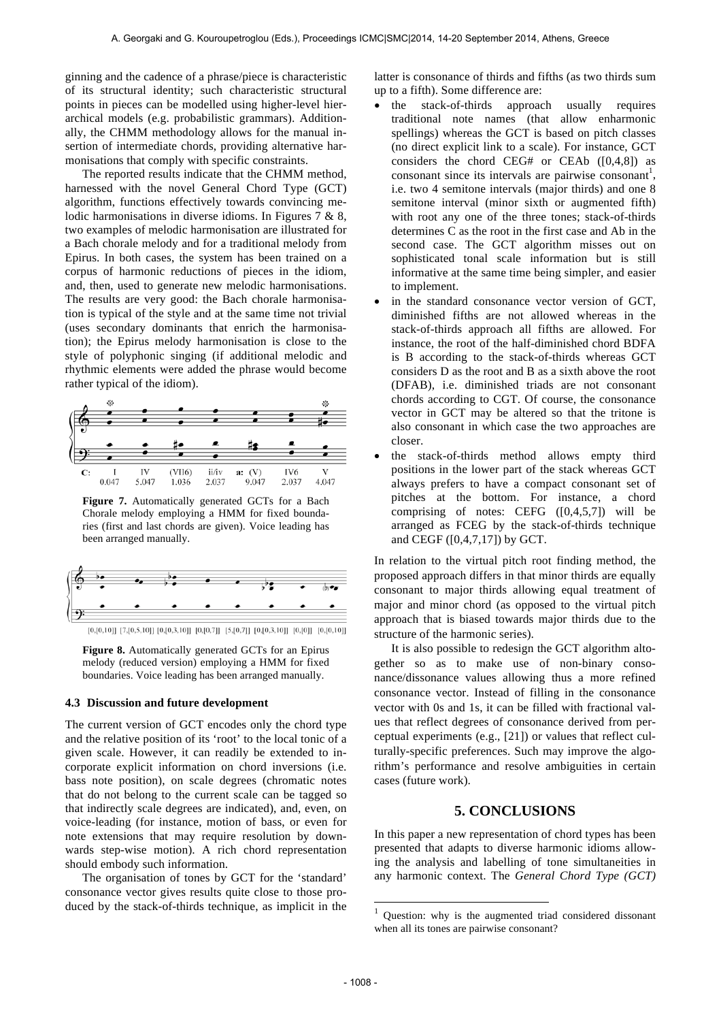ginning and the cadence of a phrase/piece is characteristic of its structural identity; such characteristic structural points in pieces can be modelled using higher-level hierarchical models (e.g. probabilistic grammars). Additionally, the CHMM methodology allows for the manual insertion of intermediate chords, providing alternative harmonisations that comply with specific constraints.

The reported results indicate that the CHMM method, harnessed with the novel General Chord Type (GCT) algorithm, functions effectively towards convincing melodic harmonisations in diverse idioms. In Figures 7 & 8, two examples of melodic harmonisation are illustrated for a Bach chorale melody and for a traditional melody from Epirus. In both cases, the system has been trained on a corpus of harmonic reductions of pieces in the idiom, and, then, used to generate new melodic harmonisations. The results are very good: the Bach chorale harmonisation is typical of the style and at the same time not trivial (uses secondary dominants that enrich the harmonisation); the Epirus melody harmonisation is close to the style of polyphonic singing (if additional melodic and rhythmic elements were added the phrase would become rather typical of the idiom).



**Figure 7.** Automatically generated GCTs for a Bach Chorale melody employing a HMM for fixed boundaries (first and last chords are given). Voice leading has been arranged manually.



 $[0, [0, 10]]$  [7,[0,5,10]]  $[0, [0, 3, 10]]$   $[0, [0, 7]]$  [5,[0,7]]  $[0, [0, 3, 10]]$   $[0, [0]]$   $[0, [0, 10]]$ 

**Figure 8.** Automatically generated GCTs for an Epirus melody (reduced version) employing a HMM for fixed boundaries. Voice leading has been arranged manually.

#### **4.3 Discussion and future development**

The current version of GCT encodes only the chord type and the relative position of its 'root' to the local tonic of a given scale. However, it can readily be extended to incorporate explicit information on chord inversions (i.e. bass note position), on scale degrees (chromatic notes that do not belong to the current scale can be tagged so that indirectly scale degrees are indicated), and, even, on voice-leading (for instance, motion of bass, or even for note extensions that may require resolution by downwards step-wise motion). A rich chord representation should embody such information.

The organisation of tones by GCT for the 'standard' consonance vector gives results quite close to those produced by the stack-of-thirds technique, as implicit in the latter is consonance of thirds and fifths (as two thirds sum up to a fifth). Some difference are:

- the stack-of-thirds approach usually requires traditional note names (that allow enharmonic spellings) whereas the GCT is based on pitch classes (no direct explicit link to a scale). For instance, GCT considers the chord CEG# or CEAb  $([0,4,8])$  as consonant since its intervals are pairwise consonant<sup>1</sup>, i.e. two 4 semitone intervals (major thirds) and one 8 semitone interval (minor sixth or augmented fifth) with root any one of the three tones; stack-of-thirds determines C as the root in the first case and Ab in the second case. The GCT algorithm misses out on sophisticated tonal scale information but is still informative at the same time being simpler, and easier to implement.
- in the standard consonance vector version of GCT, diminished fifths are not allowed whereas in the stack-of-thirds approach all fifths are allowed. For instance, the root of the half-diminished chord BDFA is B according to the stack-of-thirds whereas GCT considers D as the root and B as a sixth above the root (DFAB), i.e. diminished triads are not consonant chords according to CGT. Of course, the consonance vector in GCT may be altered so that the tritone is also consonant in which case the two approaches are closer.
- the stack-of-thirds method allows empty third positions in the lower part of the stack whereas GCT always prefers to have a compact consonant set of pitches at the bottom. For instance, a chord comprising of notes: CEFG  $([0,4,5,7])$  will be arranged as FCEG by the stack-of-thirds technique and CEGF ([0,4,7,17]) by GCT.

In relation to the virtual pitch root finding method, the proposed approach differs in that minor thirds are equally consonant to major thirds allowing equal treatment of major and minor chord (as opposed to the virtual pitch approach that is biased towards major thirds due to the structure of the harmonic series).

It is also possible to redesign the GCT algorithm altogether so as to make use of non-binary consonance/dissonance values allowing thus a more refined consonance vector. Instead of filling in the consonance vector with 0s and 1s, it can be filled with fractional values that reflect degrees of consonance derived from perceptual experiments (e.g., [21]) or values that reflect culturally-specific preferences. Such may improve the algorithm's performance and resolve ambiguities in certain cases (future work).

#### **5. CONCLUSIONS**

In this paper a new representation of chord types has been presented that adapts to diverse harmonic idioms allowing the analysis and labelling of tone simultaneities in any harmonic context. The *General Chord Type (GCT)*

l

 $1$  Question: why is the augmented triad considered dissonant when all its tones are pairwise consonant?